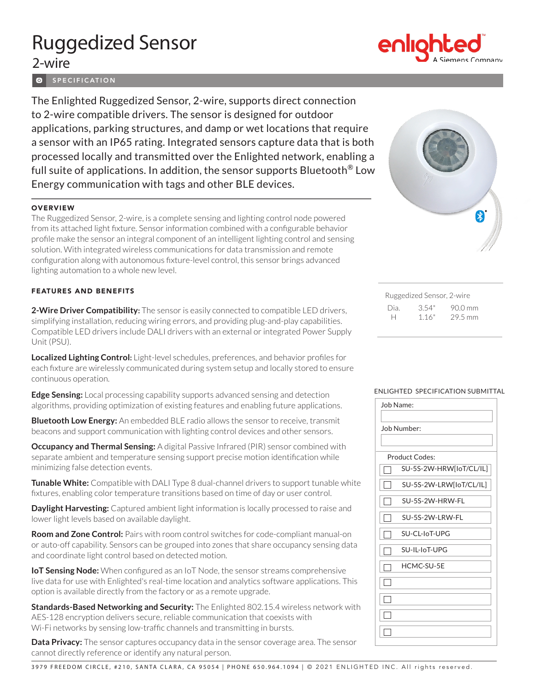# Ruggedized Sensor

# 2-wire

**O** SPECIFICATION

The Enlighted Ruggedized Sensor, 2-wire, supports direct connection to 2-wire compatible drivers. The sensor is designed for outdoor applications, parking structures, and damp or wet locations that require a sensor with an IP65 rating. Integrated sensors capture data that is both processed locally and transmitted over the Enlighted network, enabling a full suite of applications. In addition, the sensor supports Bluetooth® Low Energy communication with tags and other BLE devices.

## **OVERVIEW**

The Ruggedized Sensor, 2-wire, is a complete sensing and lighting control node powered from its attached light fixture. Sensor information combined with a configurable behavior profile make the sensor an integral component of an intelligent lighting control and sensing solution. With integrated wireless communications for data transmission and remote configuration along with autonomous fixture-level control, this sensor brings advanced lighting automation to a whole new level.

### FEATURES AND BENEFITS

**2-Wire Driver Compatibility:** The sensor is easily connected to compatible LED drivers, simplifying installation, reducing wiring errors, and providing plug-and-play capabilities. Compatible LED drivers include DALI drivers with an external or integrated Power Supply Unit (PSU).

**Localized Lighting Control:** Light-level schedules, preferences, and behavior profiles for each fixture are wirelessly communicated during system setup and locally stored to ensure continuous operation.

**Edge Sensing:** Local processing capability supports advanced sensing and detection algorithms, providing optimization of existing features and enabling future applications.

**Bluetooth Low Energy:** An embedded BLE radio allows the sensor to receive, transmit beacons and support communication with lighting control devices and other sensors.

**Occupancy and Thermal Sensing:** A digital Passive Infrared (PIR) sensor combined with separate ambient and temperature sensing support precise motion identification while minimizing false detection events.

**Tunable White:** Compatible with DALI Type 8 dual-channel drivers to support tunable white fixtures, enabling color temperature transitions based on time of day or user control.

**Daylight Harvesting:** Captured ambient light information is locally processed to raise and lower light levels based on available daylight.

**Room and Zone Control:** Pairs with room control switches for code-compliant manual-on or auto-off capability. Sensors can be grouped into zones that share occupancy sensing data and coordinate light control based on detected motion.

**IoT Sensing Node:** When configured as an IoT Node, the sensor streams comprehensive live data for use with Enlighted's real-time location and analytics software applications. This option is available directly from the factory or as a remote upgrade.

**Standards-Based Networking and Security:** The Enlighted 802.15.4 wireless network with AES-128 encryption delivers secure, reliable communication that coexists with Wi-Fi networks by sensing low-traffic channels and transmitting in bursts.

**Data Privacy:** The sensor captures occupancy data in the sensor coverage area. The sensor cannot directly reference or identify any natural person.



| Ruggedized Sensor, 2-wire |       |                   |  |  |
|---------------------------|-------|-------------------|--|--|
| Dia.                      | 3.54" | $90.0 \text{ mm}$ |  |  |
| н                         | 1.16" | 29.5 mm           |  |  |

#### ENLIGHTED SPECIFICATION SUBMITTAL

| Job Name:               |  |  |  |  |
|-------------------------|--|--|--|--|
| Job Number:             |  |  |  |  |
|                         |  |  |  |  |
| <b>Product Codes:</b>   |  |  |  |  |
| SU-5S-2W-HRW[loT/CL/IL] |  |  |  |  |
| SU-5S-2W-LRW[loT/CL/IL] |  |  |  |  |
| SU-5S-2W-HRW-FL         |  |  |  |  |
| SU-5S-2W-LRW-FL         |  |  |  |  |
| SU-CL-IoT-UPG           |  |  |  |  |
| SU-II-IoT-UPG           |  |  |  |  |
| HCMC-SU-5F              |  |  |  |  |
|                         |  |  |  |  |
|                         |  |  |  |  |
|                         |  |  |  |  |
|                         |  |  |  |  |
|                         |  |  |  |  |



3979 FREEDOM CIRCLE, #210, SANTA CLARA, CA 95054 | PHONE 650.964.1094 | © 2021 ENLIGHTED INC. All rights reserved.